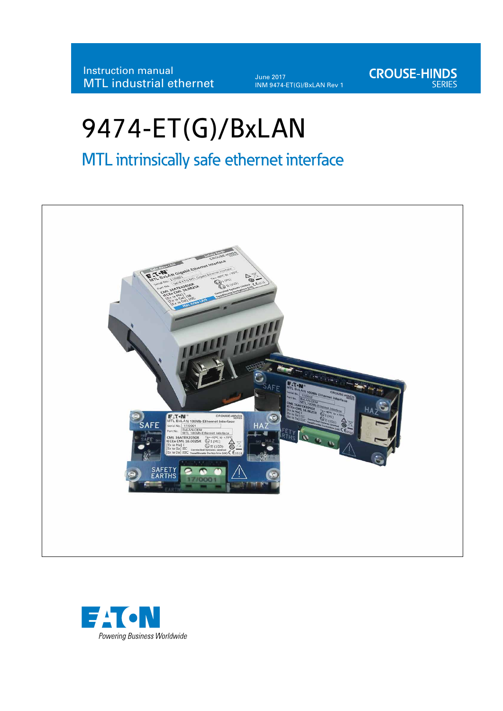June 2017 INM 9474-ET(G)/BxLAN Rev 1 **CROUSE-HINDS** 

**SERIES** 

# 9474-ET(G)/BxLAN

MTL intrinsically safe ethernet interface



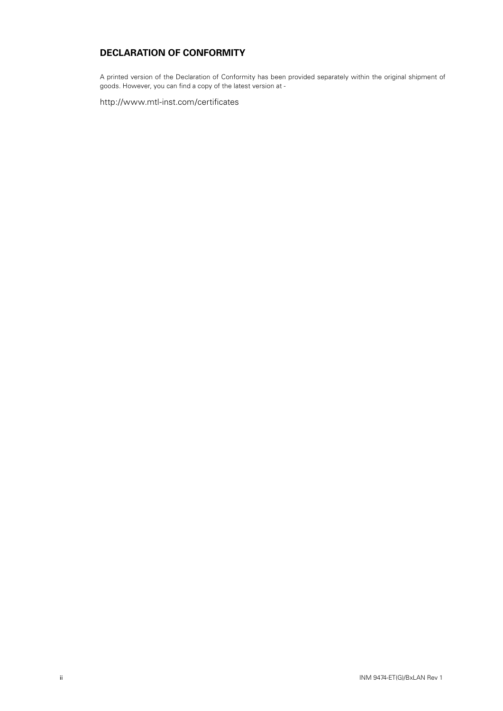## **DECLARATION OF CONFORMITY**

A printed version of the Declaration of Conformity has been provided separately within the original shipment of goods. However, you can find a copy of the latest version at -

http://www.mtl-inst.com/certificates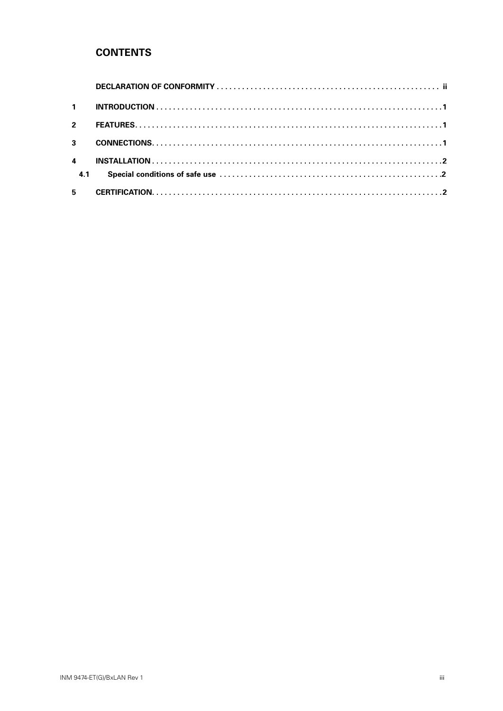# **CONTENTS**

| 4.1 |  |
|-----|--|
|     |  |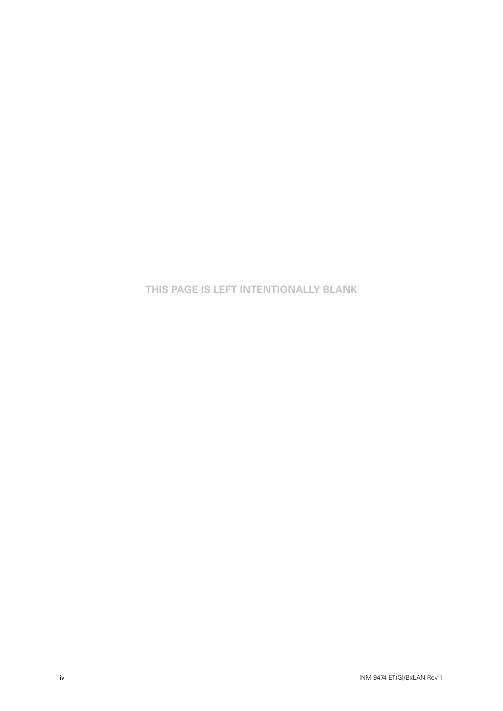**THIS PAGE IS LEFT INTENTIONALLY BLANK**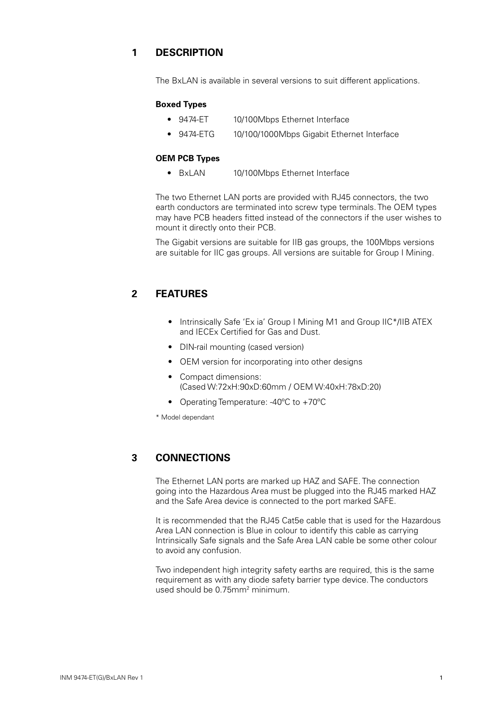## **1 DESCRIPTION**

The BxLAN is available in several versions to suit different applications.

## **Boxed Types**

- 9474-ET 10/100Mbps Ethernet Interface
- 9474-ETG 10/100/1000Mbps Gigabit Ethernet Interface

### **OEM PCB Types**

• BxLAN 10/100Mbps Ethernet Interface

The two Ethernet LAN ports are provided with RJ45 connectors, the two earth conductors are terminated into screw type terminals. The OEM types may have PCB headers fitted instead of the connectors if the user wishes to mount it directly onto their PCB.

The Gigabit versions are suitable for IIB gas groups, the 100Mbps versions are suitable for IIC gas groups. All versions are suitable for Group I Mining.

## **2 FEATURES**

- Intrinsically Safe 'Ex ia' Group I Mining M1 and Group IIC\*/IIB ATEX and IECEx Certified for Gas and Dust.
- DIN-rail mounting (cased version)
- OEM version for incorporating into other designs
- Compact dimensions: (Cased W:72xH:90xD:60mm / OEM W:40xH:78xD:20)
- Operating Temperature: -40ºC to +70ºC
- \* Model dependant

# **3 CONNECTIONS**

The Ethernet LAN ports are marked up HAZ and SAFE. The connection going into the Hazardous Area must be plugged into the RJ45 marked HAZ and the Safe Area device is connected to the port marked SAFE.

It is recommended that the RJ45 Cat5e cable that is used for the Hazardous Area LAN connection is Blue in colour to identify this cable as carrying Intrinsically Safe signals and the Safe Area LAN cable be some other colour to avoid any confusion.

Two independent high integrity safety earths are required, this is the same requirement as with any diode safety barrier type device. The conductors used should be 0.75mm<sup>2</sup> minimum.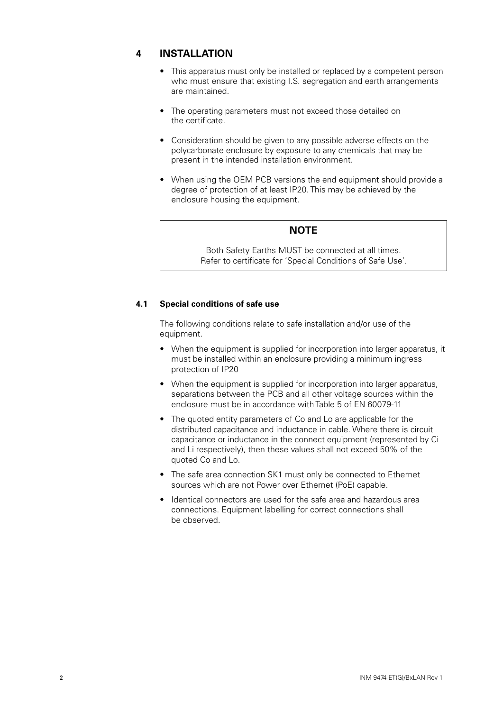## **4 INSTALLATION**

- This apparatus must only be installed or replaced by a competent person who must ensure that existing I.S. segregation and earth arrangements are maintained.
- The operating parameters must not exceed those detailed on the certificate.
- Consideration should be given to any possible adverse effects on the polycarbonate enclosure by exposure to any chemicals that may be present in the intended installation environment.
- When using the OEM PCB versions the end equipment should provide a degree of protection of at least IP20. This may be achieved by the enclosure housing the equipment.

## **NOTE**

Both Safety Earths MUST be connected at all times. Refer to certificate for 'Special Conditions of Safe Use'.

## **4.1 Special conditions of safe use**

The following conditions relate to safe installation and/or use of the equipment.

- When the equipment is supplied for incorporation into larger apparatus, it must be installed within an enclosure providing a minimum ingress protection of IP20
- When the equipment is supplied for incorporation into larger apparatus, separations between the PCB and all other voltage sources within the enclosure must be in accordance with Table 5 of EN 60079-11
- The quoted entity parameters of Co and Lo are applicable for the distributed capacitance and inductance in cable. Where there is circuit capacitance or inductance in the connect equipment (represented by Ci and Li respectively), then these values shall not exceed 50% of the quoted Co and Lo.
- The safe area connection SK1 must only be connected to Ethernet sources which are not Power over Ethernet (PoE) capable.
- Identical connectors are used for the safe area and hazardous area connections. Equipment labelling for correct connections shall be observed.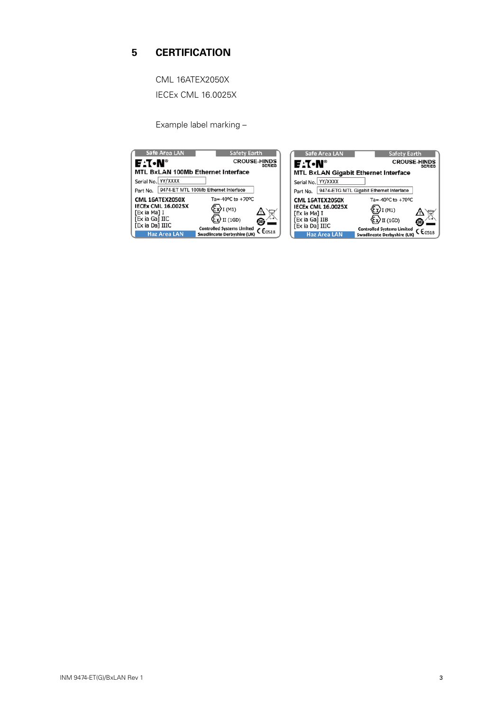# **5 CERTIFICATION**

CML 16ATEX2050X IECEx CML 16.0025X

Example label marking –

| Safe Area LAN<br><b>E</b> :T.N®                                                                       | <b>Safety Earth</b><br><b>CROUSE-HINDS</b><br><b>SERIES</b>                                                                                              | <b>Safe Area LAN</b><br><b>E</b> :T.N®                                                                       | <b>Safety Earth</b><br><b>CROUSE-HINDS</b><br><b>SERIES</b>                                                                                                |
|-------------------------------------------------------------------------------------------------------|----------------------------------------------------------------------------------------------------------------------------------------------------------|--------------------------------------------------------------------------------------------------------------|------------------------------------------------------------------------------------------------------------------------------------------------------------|
| MTL BxLAN 100Mb Ethernet Interface<br>Serial No. YY/XXXX<br>Part No.<br><b>CML 16ATEX2050X</b>        | 9474-ET MTL 100Mb Ethernet Interface<br>Ta=-40°C to +70°C                                                                                                | <b>MTL BxLAN Gigabit Ethernet Interface</b><br>Serial No. YY/XXXX<br>Part No.<br><b>CML 16ATEX2050X</b>      | 9474-ETG MTL Gigabit Ethernet Interface<br>Ta=-40°C to +70°C                                                                                               |
| <b>IECEX CML 16.0025X</b><br>[Ex ia Ma] I<br>[Ex ia Ga] IIC<br>[Ex ia Da] IIIC<br><b>Haz Area LAN</b> | (Ex) I (M1<br>$\langle \xi \chi \rangle$ II (1GD)<br>5,<br><b>Controlled Systems Limited</b><br>$C\epsilon_{0518}$<br><b>Swadlincote Derbyshire (UK)</b> | <b>IECEX CML 16.0025X</b><br><b>FEx ia Mal I</b><br>[Ex ia Ga] IIB<br>[Ex ia Da] IIIC<br><b>Haz Area LAN</b> | $\sum$ I (M1)<br>$\langle \xi \chi \rangle$ II (1GD)<br>⊕<br><b>Controlled Systems Limited</b><br>$C\epsilon_{0518}$<br><b>Swadlincote Derbyshire (UK)</b> |